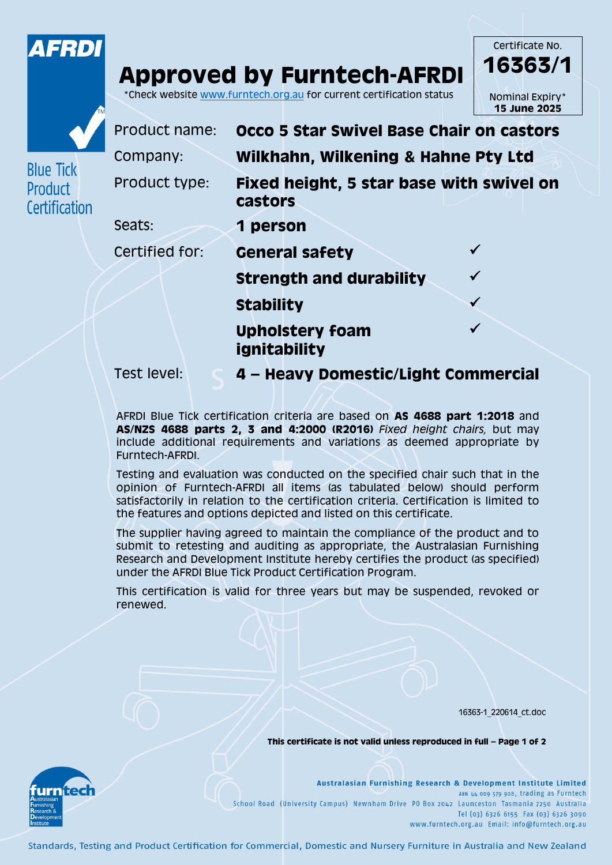

## **Approved by Furntech-AFRDI**

\*Check website [www.furntech.org.au](http://www.furntech.org.au/) for current certification status





**Blue Tick** Product

Certification

Product name: **Occo 5 Star Swivel Base Chair on castors** Company: **Wilkhahn, Wilkening & Hahne Pty Ltd** Product type: **Fixed height, 5 star base with swivel on castors**  Seats: **1 person** Certified for: **General safety Strength and durability Stability Upholstery foam ignitability**  $\checkmark$ 

Test level: **4 – Heavy Domestic/Light Commercial**

AFRDI Blue Tick certification criteria are based on **AS 4688 part 1:2018** and **AS/NZS 4688 parts 2, 3 and 4:2000 (R2016)** *Fixed height chairs,* but may include additional requirements and variations as deemed appropriate by Furntech-AFRDI.

Testing and evaluation was conducted on the specified chair such that in the opinion of Furntech-AFRDI all items (as tabulated below) should perform satisfactorily in relation to the certification criteria. Certification is limited to the features and options depicted and listed on this certificate.

The supplier having agreed to maintain the compliance of the product and to submit to retesting and auditing as appropriate, the Australasian Furnishing Research and Development Institute hereby certifies the product (as specified) under the AFRDI Blue Tick Product Certification Program.

This certification is valid for three years but may be suspended, revoked or renewed.

16363-1\_220614\_ct.doc

**This certificate is not valid unless reproduced in full – Page 1 of 2**



Australasian Furnishing Research & Development Institute Limited ABN 44 009 579 908, trading as Furntech School Road (University Campus) Newnham Drive PO Box 2042 Launceston Tasmania 7250 Australia Tel (03) 6326 6155 Fax (03) 6326 3090 www.furntech.org.au Email: info@furntech.org.au

Standards, Testing and Product Certification for Commercial, Domestic and Nursery Furniture in Australia and New Zealand